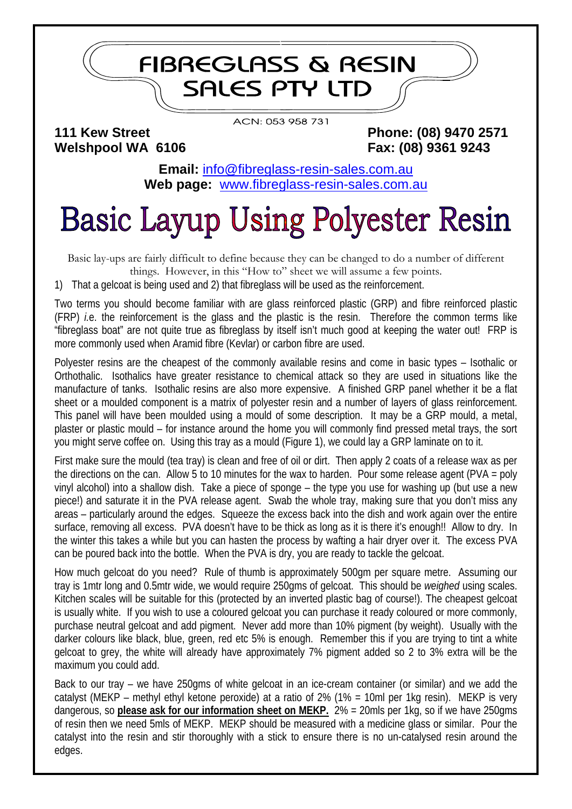## **FIBREGLASS & RESIN SALES PTY LTD**

**Welshpool WA 6106 Fax: (08) 9361 9243** 

ACN: 053 958 731

**111 Kew Street Phone: (08) 9470 2571** 

**Email:** [info@fibreglass-resin-sales.com.au](mailto:info@fibreglass-resin-sales.com.au) **Web page:** [www.fibreglass-resin-sales.com.au](http://www.fibreglass-resin-sales.com.au/)

## **Basic Layup Using Polyester Resin**

Basic lay-ups are fairly difficult to define because they can be changed to do a number of different things. However, in this "How to" sheet we will assume a few points.

1) That a gelcoat is being used and 2) that fibreglass will be used as the reinforcement.

Two terms you should become familiar with are glass reinforced plastic (GRP) and fibre reinforced plastic (FRP) *i.*e. the reinforcement is the glass and the plastic is the resin. Therefore the common terms like "fibreglass boat" are not quite true as fibreglass by itself isn't much good at keeping the water out! FRP is more commonly used when Aramid fibre (Kevlar) or carbon fibre are used.

Polyester resins are the cheapest of the commonly available resins and come in basic types – Isothalic or Orthothalic. Isothalics have greater resistance to chemical attack so they are used in situations like the manufacture of tanks. Isothalic resins are also more expensive. A finished GRP panel whether it be a flat sheet or a moulded component is a matrix of polyester resin and a number of layers of glass reinforcement. This panel will have been moulded using a mould of some description. It may be a GRP mould, a metal, plaster or plastic mould – for instance around the home you will commonly find pressed metal trays, the sort you might serve coffee on. Using this tray as a mould (Figure 1), we could lay a GRP laminate on to it.

First make sure the mould (tea tray) is clean and free of oil or dirt. Then apply 2 coats of a release wax as per the directions on the can. Allow 5 to 10 minutes for the wax to harden. Pour some release agent (PVA = poly vinyl alcohol) into a shallow dish. Take a piece of sponge – the type you use for washing up (but use a new piece!) and saturate it in the PVA release agent. Swab the whole tray, making sure that you don't miss any areas – particularly around the edges. Squeeze the excess back into the dish and work again over the entire surface, removing all excess. PVA doesn't have to be thick as long as it is there it's enough!! Allow to dry. In the winter this takes a while but you can hasten the process by wafting a hair dryer over it. The excess PVA can be poured back into the bottle. When the PVA is dry, you are ready to tackle the gelcoat.

How much gelcoat do you need? Rule of thumb is approximately 500gm per square metre. Assuming our tray is 1mtr long and 0.5mtr wide, we would require 250gms of gelcoat. This should be *weighed* using scales. Kitchen scales will be suitable for this (protected by an inverted plastic bag of course!). The cheapest gelcoat is usually white. If you wish to use a coloured gelcoat you can purchase it ready coloured or more commonly, purchase neutral gelcoat and add pigment. Never add more than 10% pigment (by weight). Usually with the darker colours like black, blue, green, red etc 5% is enough. Remember this if you are trying to tint a white gelcoat to grey, the white will already have approximately 7% pigment added so 2 to 3% extra will be the maximum you could add.

Back to our tray – we have 250gms of white gelcoat in an ice-cream container (or similar) and we add the catalyst (MEKP – methyl ethyl ketone peroxide) at a ratio of 2% (1% = 10ml per 1kg resin). MEKP is very dangerous, so **please ask for our information sheet on MEKP.** 2% = 20mls per 1kg, so if we have 250gms of resin then we need 5mls of MEKP. MEKP should be measured with a medicine glass or similar. Pour the catalyst into the resin and stir thoroughly with a stick to ensure there is no un-catalysed resin around the edges.